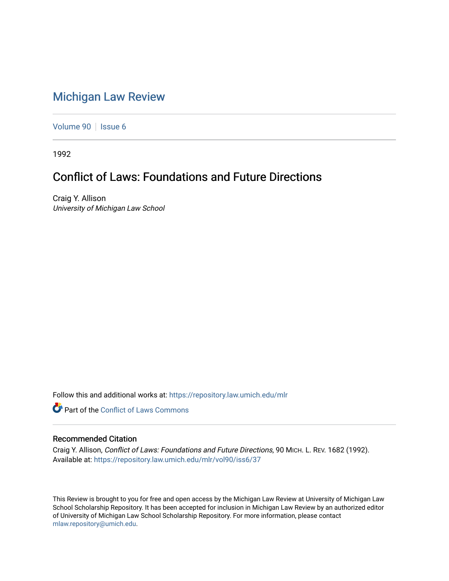## [Michigan Law Review](https://repository.law.umich.edu/mlr)

[Volume 90](https://repository.law.umich.edu/mlr/vol90) | [Issue 6](https://repository.law.umich.edu/mlr/vol90/iss6)

1992

## Conflict of Laws: Foundations and Future Directions

Craig Y. Allison University of Michigan Law School

Follow this and additional works at: [https://repository.law.umich.edu/mlr](https://repository.law.umich.edu/mlr?utm_source=repository.law.umich.edu%2Fmlr%2Fvol90%2Fiss6%2F37&utm_medium=PDF&utm_campaign=PDFCoverPages) 

**Part of the Conflict of Laws Commons** 

## Recommended Citation

Craig Y. Allison, Conflict of Laws: Foundations and Future Directions, 90 MICH. L. REV. 1682 (1992). Available at: [https://repository.law.umich.edu/mlr/vol90/iss6/37](https://repository.law.umich.edu/mlr/vol90/iss6/37?utm_source=repository.law.umich.edu%2Fmlr%2Fvol90%2Fiss6%2F37&utm_medium=PDF&utm_campaign=PDFCoverPages) 

This Review is brought to you for free and open access by the Michigan Law Review at University of Michigan Law School Scholarship Repository. It has been accepted for inclusion in Michigan Law Review by an authorized editor of University of Michigan Law School Scholarship Repository. For more information, please contact [mlaw.repository@umich.edu.](mailto:mlaw.repository@umich.edu)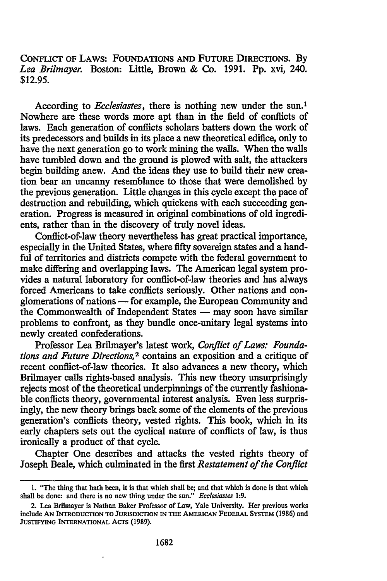CONFLICT OF LAWS: FOUNDATIONS AND FUTURE DIRECTIONS. By *Lea Brilmayer.* Boston: Little, Brown & Co. 1991. Pp. xvi, 240. \$12.95.

According to *Ecclesiastes*, there is nothing new under the sun.<sup>1</sup> Nowhere are these words more apt than in the field of conflicts of laws. Each generation of conflicts scholars batters down the work of its predecessors and builds in its place a new theoretical edifice, only to have the next generation go to work mining the walls. When the walls have tumbled down and the ground is plowed with salt, the attackers begin building anew. And the ideas they use to build their new creation bear an uncanny resemblance to those that were demolished by the previous generation. Little changes in this cycle except the pace of destruction and rebuilding, which quickens with each succeeding generation. Progress is measured in original combinations of old ingredients, rather than in the discovery of truly novel ideas.

Conflict-of-law theory nevertheless has great practical importance, especially in the United States, where fifty sovereign states and a handful of territories and districts compete with the federal government to make differing and overlapping laws. The American legal system provides a natural laboratory for conflict-of-law theories and has always forced Americans to take conflicts seriously. Other nations and conglomerations of nations - for example, the European Community and the Commonwealth of Independent States  $-$  may soon have similar problems to confront, as they bundle once-unitary legal systems into newly created confederations.

Professor Lea Brilmayer's latest work, *Conflict of Laws: Foundations and Future Directions,* 2 contains an exposition and a critique of recent conflict-of-law theories. It also advances a new theory, which Brilmayer calls rights-based analysis. This new theory unsurprisingly rejects most of the theoretical underpinnings of the currently fashionable conflicts theory, governmental interest analysis. Even less surprisingly, the new theory brings back some of the elements of the previous generation's conflicts theory, vested rights. This book, which in its early chapters sets out the cyclical nature of conflicts of law, is thus ironically a product of that cycle.

Chapter One describes and attacks the vested rights theory of Joseph Beale, which culminated in the first *Restatement of the Conflict* 

<sup>1. &</sup>quot;The thing that hath been, it is that which shall be; and that which is done is that which shall be done: and there is no new thing under the sun." *Ecclesiastes* 1:9.

<sup>2.</sup> Lea Brilmayer is Nathan Baker Professor of Law, Yale University. Her previous works include AN INTRODUCTION TO JURISDICTION IN THE AMERICAN FEDERAL SYSTEM (1986) and JUSTIFYING INTERNATIONAL ACTS (1989).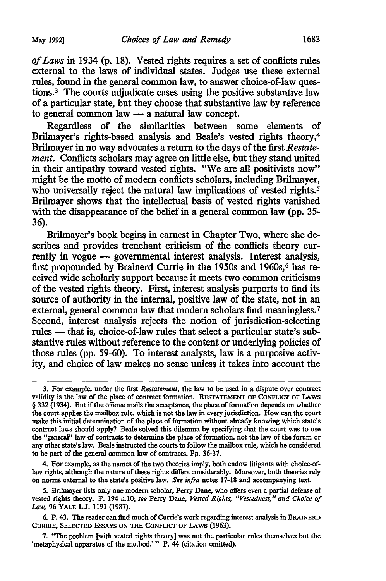*of Laws* in 1934 {p. 18). Vested rights requires a set of conflicts rules external to the laws of individual states. Judges use these external rules, found in the general common law, to answer choice-of-law questions.<sup>3</sup> The courts adjudicate cases using the positive substantive law of a particular state, but they choose that substantive law by reference to general common law  $-$  a natural law concept.

Regardless of the similarities between some elements of Brilmayer's rights-based analysis and Beale's vested rights theory,4 Brilmayer in no way advocates a return to the days of the first *Restatement.* Conflicts scholars may agree on little else, but they stand united in their antipathy toward vested rights. "We are all positivists now" might be the motto of modern conflicts scholars, including Brilmayer, who universally reject the natural law implications of vested rights.<sup>5</sup> Brilmayer shows that the intellectual basis of vested rights vanished with the disappearance of the belief in a general common law (pp. 35-36).

Brilmayer's book begins in earnest in Chapter Two, where she describes and provides trenchant criticism of the conflicts theory currently in vogue  $-$  governmental interest analysis. Interest analysis, first propounded by Brainerd Currie in the 1950s and 1960s,<sup>6</sup> has received wide scholarly support because it meets two common criticisms of the vested rights theory. First, interest analysis purports to find its source of authority in the internal, positive law of the state, not in an external, general common law that modern scholars find meaningless.<sup>7</sup> Second, interest analysis rejects the notion of jurisdiction-selecting rules - that is, choice-of-law rules that select a particular state's substantive rules without reference to the content or underlying policies of those rules {pp. 59-60). To interest analysts, law is a purposive activity, and choice of law makes no sense unless it takes into account the

4. For example, as the names of the two theories imply, both endow litigants with choice-oflaw rights, although the nature of these rights differs considerably. Moreover, both theories rely on norms external to the state's positive law. *See infra* notes 17-18 and accompanying text.

*5.* Brilmayer lists only one modern scholar, Perry Dane, who offers even a partial defense of vested rights theory. P. 194 n.10; *see* Perry Dane, *Vested Rights, "Vestedness," and Choice of Law,* 96 YALE L.J. 1191 (1987).

6. P. 43. The reader can find much of Currie's work regarding interest analysis in BRAINERD CURRIE, SELECTED EssAYS ON THE CoNFLICT OF LAWS (1963).

7. "The problem [with vested rights theory] was not the particular rules themselves but the 'metaphysical apparatus of the method.'" P. 44 (citation omitted).

<sup>3.</sup> For example, under the first *Restatement,* the law to be used in a dispute over contract validity is the law of the place of contract formation. REsrATEMENT OF CoNFLICT OF LAWS § 332 (1934). But if the offeree mails the acceptance, the place of formation depends on whether the court applies the mailbox rule, which is not the law in every jurisdiction. How can the court make this initial determination of the place of formation without already knowing which state's contract laws should apply? Beale solved this dilemma by specifying that the court was to use the "general" law of contracts to determine the place of formation, not the law of the forum or any other state's law. Beale instructed the courts to follow the mailbox rule, which he considered to be part of the general common law of contracts. Pp. 36-37.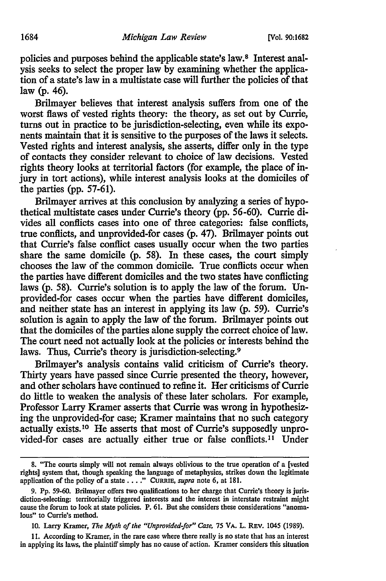policies and purposes behind the applicable state's law.8 Interest analysis seeks to select the proper law by examining whether the application of a state's law in a multistate case will further the policies of that law (p. 46).

Brilmayer believes that interest analysis suffers from one of the worst flaws of vested rights theory: the theory, as set out by Currie, turns out in practice to be jurisdiction-selecting, even while its exponents maintain that it is sensitive to the purposes of the laws it selects. Vested rights and interest analysis, she asserts, differ only in the type of contacts they consider relevant to choice of law decisions. Vested rights theory looks at territorial factors (for example, the place of injury in tort actions), while interest analysis looks at the domiciles of the parties (pp.  $57-61$ ).

Brilmayer arrives at this conclusion by analyzing a series of hypothetical multistate cases under Currie's theory (pp. 56-60). Currie divides all conflicts cases into one of three categories: false conflicts, true conflicts, and unprovided-for cases (p. 47). Brilmayer points out that Currie's false conflict cases usually occur when the two parties share the same domicile (p. 58). In these cases, the court simply chooses the law of the common domicile. True conflicts occur when the parties have different domiciles and the two states have conflicting laws (p. 58). Currie's solution is to apply the law of the forum. Unprovided-for cases occur when the parties have different domiciles, and neither state has an interest in applying its law (p. 59). Currie's solution is again to apply the law of the forum. Brilmayer points out that the domiciles of the parties alone supply the correct choice of law. The court need not actually look at the policies or interests behind the laws. Thus, Currie's theory is jurisdiction-selecting.<sup>9</sup>

Brilmayer's analysis contains valid criticism of Currie's theory. Thirty years have passed since Currie presented the theory, however, and other scholars have continued to refine it. Her criticisms of Currie do little to weaken the analysis of these later scholars. For example, Professor Larry Kramer asserts that Currie was wrong in hypothesizing the unprovided-for case; Kramer maintains that no such category actually exists. 10 He asserts that most of Currie's supposedly unprovided-for cases are actually either true or false conflicts.<sup>11</sup> Under

11. According to Kramer, in the rare case where there really is no state that has an interest in applying its laws, the plaintiff simply has no cause of action. Kramer considers this situation

<sup>8. &</sup>quot;The courts simply will not remain always oblivious to the true operation of a [vested rights] system that, though speaking the language of metaphysics, strikes down the legitimate application of the policy of a state •... " CuRRIE, *supra* note 6, at 181.

<sup>9.</sup> Pp. 59-60. Brilmayer offers two qualifications to her charge that Currie's theory is jurisdiction-selecting: territorially triggered interests and the interest in interstate restraint might cause the forum to look at state policies. P. 61. But she considers these considerations "anomalous" to Currie's method.

<sup>10.</sup> Larry Kramer, *The Myth of the "Unprovided-for" Case,* 75 VA. L. REV. 1045 (1989).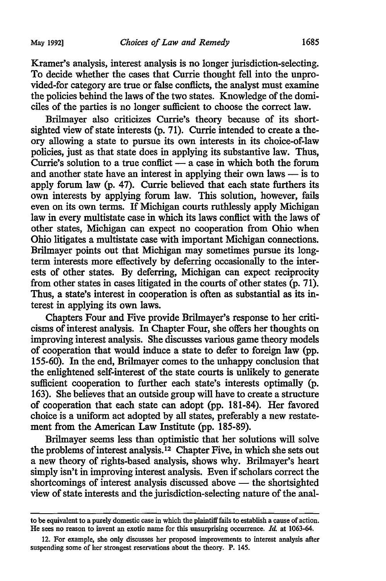Kramer's analysis, interest analysis is no longer jurisdiction-selecting. To decide whether the cases that Currie thought fell into the unprovided-for category are true or false conflicts, the analyst must examine the policies behind the laws of the two states. Knowledge of the domiciles of the parties is no longer sufficient to choose the correct law.

Brilmayer also criticizes Currie's theory because of its shortsighted view of state interests (p. 71). Currie intended to create a theory allowing a state to pursue its own interests in its choice-of-law policies, just as that state does in applying its substantive law. Thus, Currie's solution to a true conflict  $\frac{1}{x}$  a case in which both the forum and another state have an interest in applying their own laws  $-$  is to apply forum law (p. 47). Currie believed that each state furthers its own interests by applying forum law. This solution, however, fails even on its own terms. If Michigan courts ruthlessly apply Michigan law in every multistate case in which its laws conflict with the laws of other states, Michigan can expect no cooperation from Ohio when Ohio litigates a multistate case with important Michigan connections. Brilmayer points out that Michigan may sometimes pursue its longterm interests more effectively by deferring occasionally to the interests of other states. By deferring, Michigan can expect reciprocity from other states in cases litigated in the courts of other states (p. 71). Thus, a state's interest in cooperation is often as substantial as its interest in applying its own laws.

Chapters Four and Five provide Brilmayer's response to her criticisms of interest analysis. In Chapter Four, she offers her thoughts on improving interest analysis. She discusses various game theory models of cooperation that would induce a state to defer to foreign law (pp. 155-60). In the end, Brilmayer comes to the unhappy conclusion that the enlightened self-interest of the state courts is unlikely to generate sufficient cooperation to further each state's interests optimally (p. 163). She believes that an outside group will have to create a structure of cooperation that each state can adopt (pp. 181-84). Her favored choice is a uniform act adopted by all states, preferably a new restatement from the American Law Institute (pp. 185-89).

Brilmayer seems less than optimistic that her solutions will solve the problems of interest analysis. 12 Chapter Five, in which she sets out a new theory of rights-based analysis, shows why. Brilmayer's heart simply isn't in improving interest analysis. Even if scholars correct the  $shortcomings$  of interest analysis discussed above  $-$  the shortsighted view of state interests and the jurisdiction-selecting nature of the anal-

to be equivalent to a purely domestic case in which the plaintiff fails to establish a cause of action. He sees no reason to invent an exotic name for this unsurprising occurrence. *Id.* at 1063-64.

<sup>12.</sup> For example, she only discusses her proposed improvements to interest analysis after suspending some of her strongest reservations about the theory. P. 145.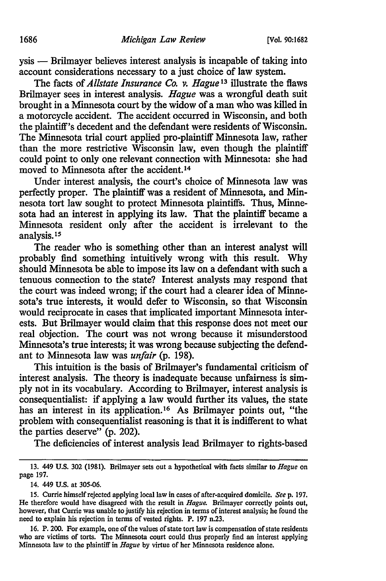ysis - Brilmayer believes interest analysis is incapable of taking into account considerations necessary to a just choice of law system.

The facts of *Allstate Insurance Co. v. Hague* 13 illustrate the flaws Brilmayer sees in interest analysis. *Hague* was a wrongful death suit brought in a Minnesota court by the widow of a man who was killed in a motorcycle accident. The accident occurred in Wisconsin, and both the plaintiff's decedent and the defendant were residents of Wisconsin. The Minnesota trial court applied pro-plaintiff Minnesota law, rather than the more restrictive Wisconsin law, even though the plaintiff could point to only one relevant connection with Minnesota: she had moved to Minnesota after the accident. <sup>14</sup>

Under interest analysis, the court's choice of Minnesota law was perfectly proper. The plaintiff was a resident of Minnesota, and Minnesota tort law sought to protect Minnesota plaintiffs. Thus, Minnesota had an interest in applying its law. That the plaintiff became a Minnesota resident only after the accident is irrelevant to the analysis. <sup>15</sup>

The reader who is something other than an interest analyst will probably find something intuitively wrong with this result. Why should Minnesota be able to impose its law on a defendant with such a tenuous connection to the state? Interest analysts may respond that the court was indeed wrong; if the court had a clearer idea of Minnesota's true interests, it would defer to Wisconsin, so that Wisconsin would reciprocate in cases that implicated important Minnesota interests. But Brilmayer would claim that this response does not meet our real objection. The court was not wrong because it misunderstood Minnesota's true interests; it was wrong because subjecting the defendant to Minnesota law was *unfair* (p. 198).

This intuition is the basis of Brilmayer's fundamental criticism of interest analysis. The theory is inadequate because unfairness is simply not in its vocabulary. According to Brilmayer, interest analysis is consequentialist: if applying a law would further its values, the state has an interest in its application.<sup>16</sup> As Brilmayer points out, "the problem with consequentialist reasoning is that it is indifferent to what the parties deserve" (p. 202).

The deficiencies of interest analysis lead Brilmayer to rights-based

<sup>13. 449</sup> U.S. 302 (1981). Brilmayer sets out a hypothetical with facts similar to *Hague* on page 197.

<sup>14. 449</sup> U.S. at 305-06.

<sup>15.</sup> Currie himself rejected applying local law in cases of after-acquired domicile. *Seep.* 197. He therefore would have disagreed with the result in *Hague.* Brilmayer correctly points out, however, that Currie was unable to justify his rejection in terms of interest analysis; he found the need to explain his rejection in terms of vested rights. P. 197 n.23.

<sup>16.</sup> P. 200. For example, one of the values of state tort law is compensation of state residents who are victims of torts. The Minnesota court could thus properly find an interest applying Minnesota law to the plaintiff in *Hague* by virtue of her Minnesota residence alone.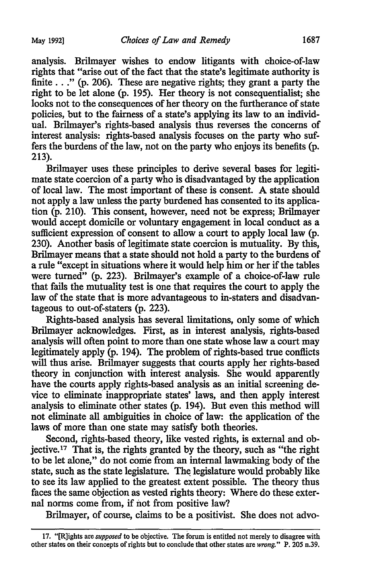analysis. Brilmayer wishes to endow litigants with choice-of-law rights that "arise out of the fact that the state's legitimate authority is finite  $\ldots$  " (p. 206). These are negative rights; they grant a party the right to be let alone (p. 195). Her theory is not consequentialist; she looks not to the consequences of her theory on the furtherance of state policies, but to the fairness of a state's applying its law to an individual. Brilmayer's rights-based analysis thus reverses the concerns of interest analysis: rights-based analysis focuses on the party who suffers the burdens of the law, not on the party who enjoys its benefits (p. 213).

Brilmayer uses these principles to derive several bases for legitimate state coercion of a party who is disadvantaged by the application of local law. The most important of these is consent. A state should not apply a law unless the party burdened has consented to its application (p. 210). This consent, however, need not be express; Brilmayer would accept domicile or voluntary engagement in local conduct as a sufficient expression of consent to allow a court to apply local law (p. 230). Another basis of legitimate state coercion is mutuality. By this, Brilmayer means that a state should not hold a party to the burdens of a rule "except in situations where it would help him or her if the tables were turned" (p. 223). Brilmayer's example of a choice-of-law rule that fails the mutuality test is one that requires the court to apply the law of the state that is more advantageous to in-staters and disadvantageous to out-of-staters (p. 223).

Rights-based analysis has several limitations, only some of which Brilmayer acknowledges. First, as in interest analysis, rights-based analysis will often point to more than one state whose law a court may legitimately apply (p. 194). The problem of rights-based true conflicts will thus arise. Brilmayer suggests that courts apply her rights-based theory in conjunction with interest analysis. She would apparently have the courts apply rights-based analysis as an initial screening device to eliminate inappropriate states' laws, and then apply interest analysis to eliminate other states (p. 194). But even this method will not eliminate all ambiguities in choice of law: the application of the laws of more than one state may satisfy both theories.

Second, rights-based theory, like vested rights, is external and objective.17 That is, the rights granted by the theory, such as "the right to be let alone," do not come from an internal lawmaking body of the state, such as the state legislature. The legislature would probably like to see its law applied to the greatest extent possible. The theory thus faces the same objection as vested rights theory: Where do these external norms come from, if not from positive law?

Brilmayer, of course, claims to be a positivist. She does not advo-

<sup>17. &</sup>quot;[R]ights are *supposed* to be objective. The forum is entitled not merely to disagree with other states on their concepts of rights but to conclude that other states are *wrong."* P. 205 n.39.